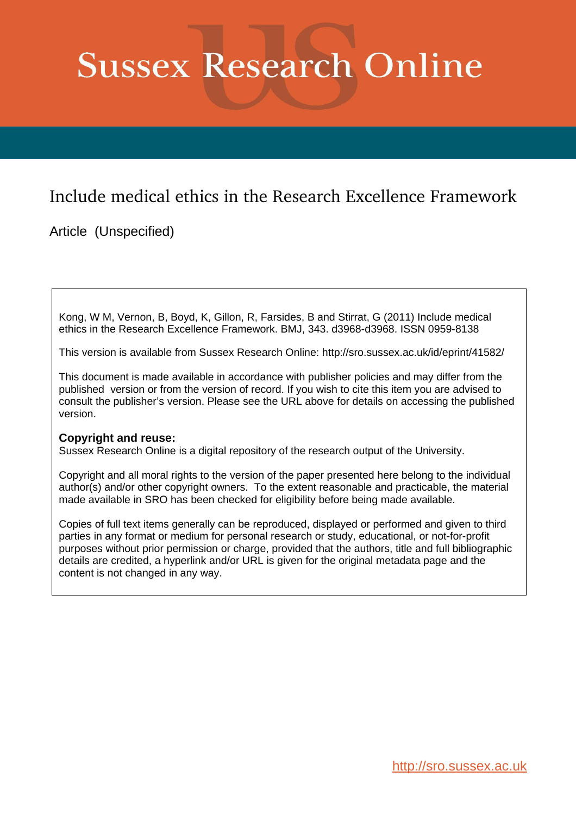# **Sussex Research Online**

## Include medical ethics in the Research Excellence Framework

Article (Unspecified)

Kong, W M, Vernon, B, Boyd, K, Gillon, R, Farsides, B and Stirrat, G (2011) Include medical ethics in the Research Excellence Framework. BMJ, 343. d3968-d3968. ISSN 0959-8138

This version is available from Sussex Research Online: http://sro.sussex.ac.uk/id/eprint/41582/

This document is made available in accordance with publisher policies and may differ from the published version or from the version of record. If you wish to cite this item you are advised to consult the publisher's version. Please see the URL above for details on accessing the published version.

### **Copyright and reuse:**

Sussex Research Online is a digital repository of the research output of the University.

Copyright and all moral rights to the version of the paper presented here belong to the individual author(s) and/or other copyright owners. To the extent reasonable and practicable, the material made available in SRO has been checked for eligibility before being made available.

Copies of full text items generally can be reproduced, displayed or performed and given to third parties in any format or medium for personal research or study, educational, or not-for-profit purposes without prior permission or charge, provided that the authors, title and full bibliographic details are credited, a hyperlink and/or URL is given for the original metadata page and the content is not changed in any way.